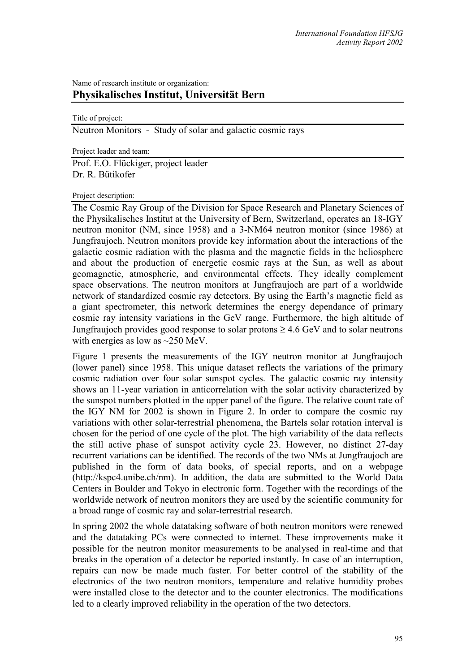# Name of research institute or organization: **Physikalisches Institut, Universität Bern**

Title of project:

Neutron Monitors - Study of solar and galactic cosmic rays

Project leader and team:

Prof. E.O. Flückiger, project leader Dr. R. Bütikofer

#### Project description:

The Cosmic Ray Group of the Division for Space Research and Planetary Sciences of the Physikalisches Institut at the University of Bern, Switzerland, operates an 18-IGY neutron monitor (NM, since 1958) and a 3-NM64 neutron monitor (since 1986) at Jungfraujoch. Neutron monitors provide key information about the interactions of the galactic cosmic radiation with the plasma and the magnetic fields in the heliosphere and about the production of energetic cosmic rays at the Sun, as well as about geomagnetic, atmospheric, and environmental effects. They ideally complement space observations. The neutron monitors at Jungfraujoch are part of a worldwide network of standardized cosmic ray detectors. By using the Earth's magnetic field as a giant spectrometer, this network determines the energy dependance of primary cosmic ray intensity variations in the GeV range. Furthermore, the high altitude of Jungfraujoch provides good response to solar protons  $\geq 4.6$  GeV and to solar neutrons with energies as low as  $\sim$ 250 MeV.

Figure 1 presents the measurements of the IGY neutron monitor at Jungfraujoch (lower panel) since 1958. This unique dataset reflects the variations of the primary cosmic radiation over four solar sunspot cycles. The galactic cosmic ray intensity shows an 11-year variation in anticorrelation with the solar activity characterized by the sunspot numbers plotted in the upper panel of the figure. The relative count rate of the IGY NM for 2002 is shown in Figure 2. In order to compare the cosmic ray variations with other solar-terrestrial phenomena, the Bartels solar rotation interval is chosen for the period of one cycle of the plot. The high variability of the data reflects the still active phase of sunspot activity cycle 23. However, no distinct 27-day recurrent variations can be identified. The records of the two NMs at Jungfraujoch are published in the form of data books, of special reports, and on a webpage (http://kspc4.unibe.ch/nm). In addition, the data are submitted to the World Data Centers in Boulder and Tokyo in electronic form. Together with the recordings of the worldwide network of neutron monitors they are used by the scientific community for a broad range of cosmic ray and solar-terrestrial research.

In spring 2002 the whole datataking software of both neutron monitors were renewed and the datataking PCs were connected to internet. These improvements make it possible for the neutron monitor measurements to be analysed in real-time and that breaks in the operation of a detector be reported instantly. In case of an interruption, repairs can now be made much faster. For better control of the stability of the electronics of the two neutron monitors, temperature and relative humidity probes were installed close to the detector and to the counter electronics. The modifications led to a clearly improved reliability in the operation of the two detectors.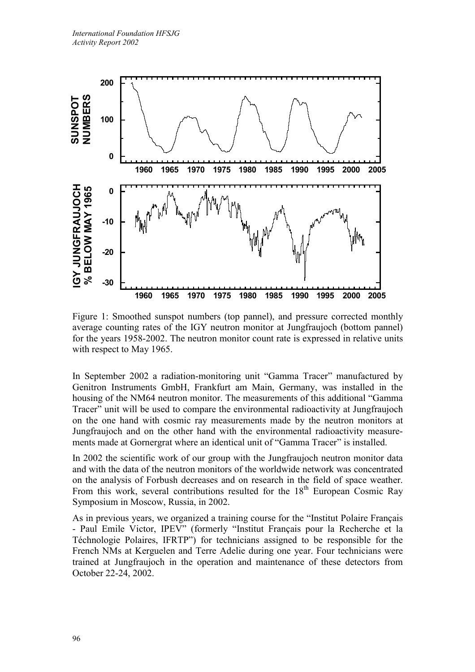

Figure 1: Smoothed sunspot numbers (top pannel), and pressure corrected monthly average counting rates of the IGY neutron monitor at Jungfraujoch (bottom pannel) for the years 1958-2002. The neutron monitor count rate is expressed in relative units with respect to May 1965.

In September 2002 a radiation-monitoring unit "Gamma Tracer" manufactured by Genitron Instruments GmbH, Frankfurt am Main, Germany, was installed in the housing of the NM64 neutron monitor. The measurements of this additional "Gamma Tracer" unit will be used to compare the environmental radioactivity at Jungfraujoch on the one hand with cosmic ray measurements made by the neutron monitors at Jungfraujoch and on the other hand with the environmental radioactivity measurements made at Gornergrat where an identical unit of "Gamma Tracer" is installed.

In 2002 the scientific work of our group with the Jungfraujoch neutron monitor data and with the data of the neutron monitors of the worldwide network was concentrated on the analysis of Forbush decreases and on research in the field of space weather. From this work, several contributions resulted for the  $18<sup>th</sup>$  European Cosmic Ray Symposium in Moscow, Russia, in 2002.

As in previous years, we organized a training course for the "Institut Polaire Français - Paul Emile Victor, IPEV" (formerly "Institut Français pour la Recherche et la Téchnologie Polaires, IFRTP") for technicians assigned to be responsible for the French NMs at Kerguelen and Terre Adelie during one year. Four technicians were trained at Jungfraujoch in the operation and maintenance of these detectors from October 22-24, 2002.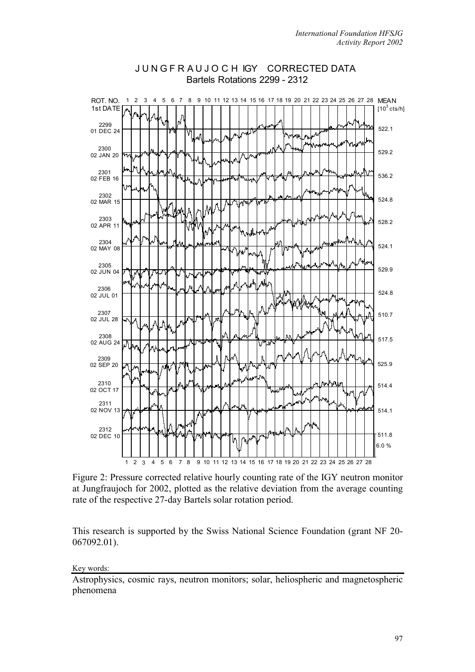

# J U N G F R A U J O C H IGY CORRECTED DATA Bartels Rotations 2299 - 2312

Figure 2: Pressure corrected relative hourly counting rate of the IGY neutron monitor at Jungfraujoch for 2002, plotted as the relative deviation from the average counting rate of the respective 27-day Bartels solar rotation period.

This research is supported by the Swiss National Science Foundation (grant NF 20- 067092.01).

### Key words:

Astrophysics, cosmic rays, neutron monitors; solar, heliospheric and magnetospheric phenomena